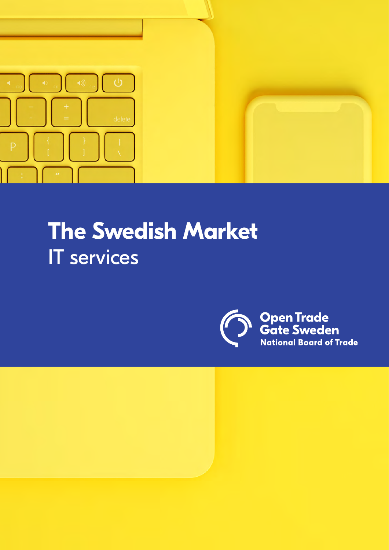

# **The Swedish Market**  IT services



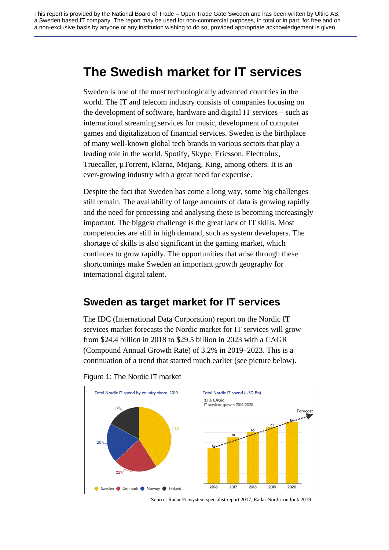# **The Swedish market for IT services**

Sweden is one of the most technologically advanced countries in the world. The IT and telecom industry consists of companies focusing on the development of software, hardware and digital IT services – such as international streaming services for music, development of computer games and digitalization of financial services. Sweden is the birthplace of many well-known global tech brands in various sectors that play a leading role in the world. Spotify, Skype, Ericsson, Electrolux, Truecaller, µTorrent, Klarna, Mojang, King, among others. It is an ever-growing industry with a great need for expertise.

Despite the fact that Sweden has come a long way, some big challenges still remain. The availability of large amounts of data is growing rapidly and the need for processing and analysing these is becoming increasingly important. The biggest challenge is the great lack of IT skills. Most competencies are still in high demand, such as system developers. The shortage of skills is also significant in the gaming market, which continues to grow rapidly. The opportunities that arise through these shortcomings make Sweden an important growth geography for international digital talent.

# **Sweden as target market for IT services**

The IDC (International Data Corporation) report on the Nordic IT services market forecasts the Nordic market for IT services will grow from \$24.4 billion in 2018 to \$29.5 billion in 2023 with a CAGR (Compound Annual Growth Rate) of 3.2% in 2019–2023. This is a continuation of a trend that started much earlier (see picture below).



### Figure 1: The Nordic IT market

Source: Radar Ecosystem specialist report 2017, Radar Nordic outlook 2019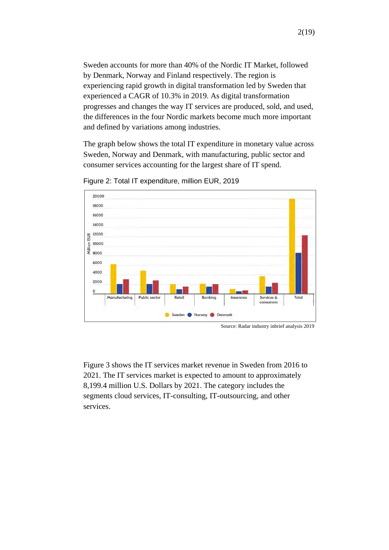Sweden accounts for more than 40% of the Nordic IT Market, followed by Denmark, Norway and Finland respectively. The region is experiencing rapid growth in digital transformation led by Sweden that experienced a CAGR of 10.3% in 2019. As digital transformation progresses and changes the way IT services are produced, sold, and used, the differences in the four Nordic markets become much more important and defined by variations among industries.

The graph below shows the total IT expenditure in monetary value across Sweden, Norway and Denmark, with manufacturing, public sector and consumer services accounting for the largest share of IT spend.



Figure 2: Total IT expenditure, million EUR, 2019

Figure 3 shows the IT services market revenue in Sweden from 2016 to 2021. The IT services market is expected to amount to approximately 8,199.4 million U.S. Dollars by 2021. The category includes the segments cloud services, IT-consulting, IT-outsourcing, and other services.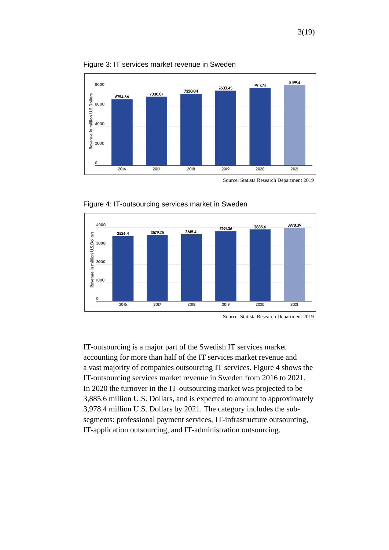

Figure 3: IT services market revenue in Sweden

Source: Statista Research Department 2019





IT-outsourcing is a major part of the Swedish IT services market accounting for more than half of the IT services market revenue and a vast majority of companies outsourcing IT services. Figure 4 shows the IT-outsourcing services market revenue in Sweden from 2016 to 2021. In 2020 the turnover in the IT-outsourcing market was projected to be 3,885.6 million U.S. Dollars, and is expected to amount to approximately 3,978.4 million U.S. Dollars by 2021. The category includes the subsegments: professional payment services, IT-infrastructure outsourcing, IT-application outsourcing, and IT-administration outsourcing.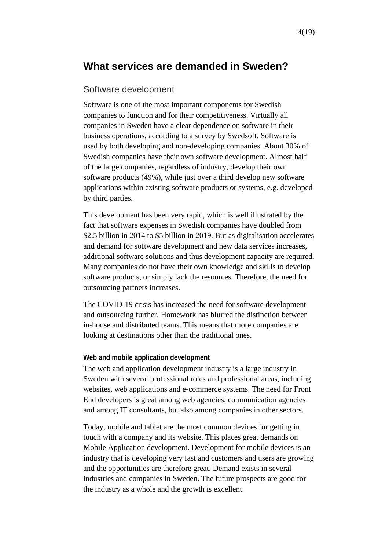# **What services are demanded in Sweden?**

### Software development

Software is one of the most important components for Swedish companies to function and for their competitiveness. Virtually all companies in Sweden have a clear dependence on software in their business operations, according to a survey by Swedsoft. Software is used by both developing and non-developing companies. About 30% of Swedish companies have their own software development. Almost half of the large companies, regardless of industry, develop their own software products (49%), while just over a third develop new software applications within existing software products or systems, e.g. developed by third parties.

This development has been very rapid, which is well illustrated by the fact that software expenses in Swedish companies have doubled from \$2.5 billion in 2014 to \$5 billion in 2019. But as digitalisation accelerates and demand for software development and new data services increases, additional software solutions and thus development capacity are required. Many companies do not have their own knowledge and skills to develop software products, or simply lack the resources. Therefore, the need for outsourcing partners increases.

The COVID-19 crisis has increased the need for software development and outsourcing further. Homework has blurred the distinction between in-house and distributed teams. This means that more companies are looking at destinations other than the traditional ones.

### **Web and mobile application development**

The web and application development industry is a large industry in Sweden with several professional roles and professional areas, including websites, web applications and e-commerce systems. The need for Front End developers is great among web agencies, communication agencies and among IT consultants, but also among companies in other sectors.

Today, mobile and tablet are the most common devices for getting in touch with a company and its website. This places great demands on Mobile Application development. Development for mobile devices is an industry that is developing very fast and customers and users are growing and the opportunities are therefore great. Demand exists in several industries and companies in Sweden. The future prospects are good for the industry as a whole and the growth is excellent.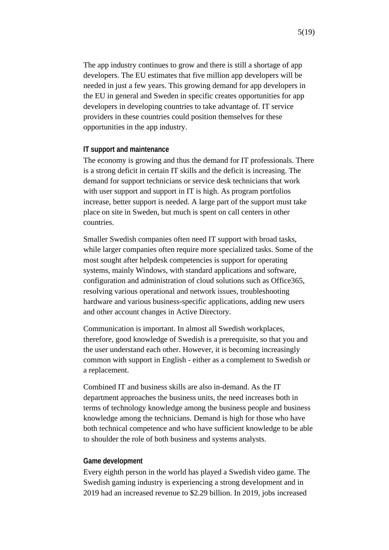The app industry continues to grow and there is still a shortage of app developers. The EU estimates that five million app developers will be needed in just a few years. This growing demand for app developers in the EU in general and Sweden in specific creates opportunities for app developers in developing countries to take advantage of. IT service providers in these countries could position themselves for these opportunities in the app industry.

#### **IT support and maintenance**

The economy is growing and thus the demand for IT professionals. There is a strong deficit in certain IT skills and the deficit is increasing. The demand for support technicians or service desk technicians that work with user support and support in IT is high. As program portfolios increase, better support is needed. A large part of the support must take place on site in Sweden, but much is spent on call centers in other countries.

Smaller Swedish companies often need IT support with broad tasks, while larger companies often require more specialized tasks. Some of the most sought after helpdesk competencies is support for operating systems, mainly Windows, with standard applications and software, configuration and administration of cloud solutions such as Office365, resolving various operational and network issues, troubleshooting hardware and various business-specific applications, adding new users and other account changes in Active Directory.

Communication is important. In almost all Swedish workplaces, therefore, good knowledge of Swedish is a prerequisite, so that you and the user understand each other. However, it is becoming increasingly common with support in English - either as a complement to Swedish or a replacement.

Combined IT and business skills are also in-demand. As the IT department approaches the business units, the need increases both in terms of technology knowledge among the business people and business knowledge among the technicians. Demand is high for those who have both technical competence and who have sufficient knowledge to be able to shoulder the role of both business and systems analysts.

#### **Game development**

Every eighth person in the world has played a Swedish video game. The Swedish gaming industry is experiencing a strong development and in 2019 had an increased revenue to \$2.29 billion. In 2019, jobs increased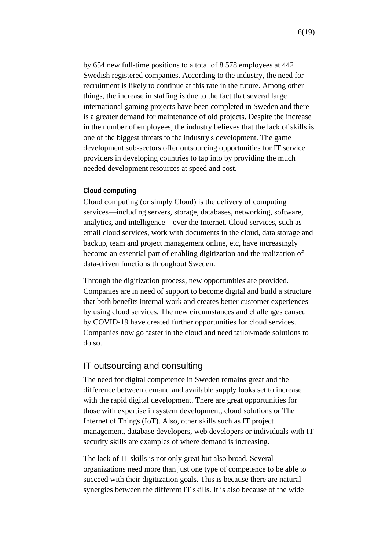by 654 new full-time positions to a total of 8 578 employees at 442 Swedish registered companies. According to the industry, the need for recruitment is likely to continue at this rate in the future. Among other things, the increase in staffing is due to the fact that several large international gaming projects have been completed in Sweden and there is a greater demand for maintenance of old projects. Despite the increase in the number of employees, the industry believes that the lack of skills is one of the biggest threats to the industry's development. The game development sub-sectors offer outsourcing opportunities for IT service providers in developing countries to tap into by providing the much needed development resources at speed and cost.

### **Cloud computing**

Cloud computing (or simply Cloud) is the delivery of computing services—including servers, storage, databases, networking, software, analytics, and intelligence—over the Internet. Cloud services, such as email cloud services, work with documents in the cloud, data storage and backup, team and project management online, etc, have increasingly become an essential part of enabling digitization and the realization of data-driven functions throughout Sweden.

Through the digitization process, new opportunities are provided. Companies are in need of support to become digital and build a structure that both benefits internal work and creates better customer experiences by using cloud services. The new circumstances and challenges caused by COVID-19 have created further opportunities for cloud services. Companies now go faster in the cloud and need tailor-made solutions to do so.

# IT outsourcing and consulting

The need for digital competence in Sweden remains great and the difference between demand and available supply looks set to increase with the rapid digital development. There are great opportunities for those with expertise in system development, cloud solutions or The Internet of Things (IoT). Also, other skills such as IT project management, database developers, web developers or individuals with IT security skills are examples of where demand is increasing.

The lack of IT skills is not only great but also broad. Several organizations need more than just one type of competence to be able to succeed with their digitization goals. This is because there are natural synergies between the different IT skills. It is also because of the wide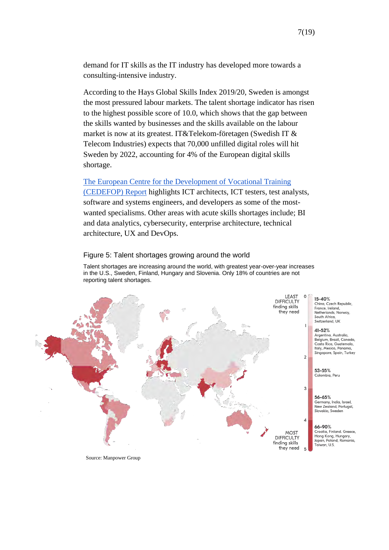demand for IT skills as the IT industry has developed more towards a consulting-intensive industry.

According to the Hays Global Skills Index 2019/20, Sweden is amongst the most pressured labour markets. The talent shortage indicator has risen to the highest possible score of 10.0, which shows that the gap between the skills wanted by businesses and the skills available on the labour market is now at its greatest. IT&Telekom-företagen (Swedish IT & Telecom Industries) expects that 70,000 unfilled digital roles will hit Sweden by 2022, accounting for 4% of the European digital skills shortage.

#### [The European Centre for the Development of Vocational Training](https://skillspanorama.cedefop.europa.eu/en/analytical_highlights/sweden-mismatch-priority-occupations#_summary)

[\(CEDEFOP\) Report](https://skillspanorama.cedefop.europa.eu/en/analytical_highlights/sweden-mismatch-priority-occupations#_summary) highlights ICT architects, ICT testers, test analysts, software and systems engineers, and developers as some of the mostwanted specialisms. Other areas with acute skills shortages include; BI and data analytics, cybersecurity, enterprise architecture, technical architecture, UX and DevOps.

#### Figure 5: Talent shortages growing around the world

Talent shortages are increasing around the world, with greatest year-over-year increases in the U.S., Sweden, Finland, Hungary and Slovenia. Only 18% of countries are not reporting talent shortages.



Source: Manpower Group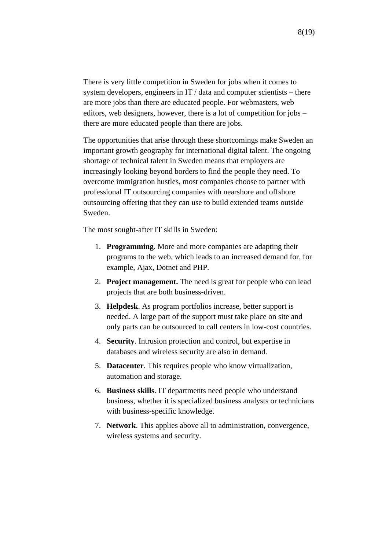There is very little competition in Sweden for jobs when it comes to system developers, engineers in IT / data and computer scientists – there are more jobs than there are educated people. For webmasters, web editors, web designers, however, there is a lot of competition for jobs – there are more educated people than there are jobs.

The opportunities that arise through these shortcomings make Sweden an important growth geography for international digital talent. The ongoing shortage of technical talent in Sweden means that employers are increasingly looking beyond borders to find the people they need. To overcome immigration hustles, most companies choose to partner with professional IT outsourcing companies with nearshore and offshore outsourcing offering that they can use to build extended teams outside Sweden.

The most sought-after IT skills in Sweden:

- 1. **Programming**. More and more companies are adapting their programs to the web, which leads to an increased demand for, for example, Ajax, Dotnet and PHP.
- 2. **Project management.** The need is great for people who can lead projects that are both business-driven.
- 3. **Helpdesk**. As program portfolios increase, better support is needed. A large part of the support must take place on site and only parts can be outsourced to call centers in low-cost countries.
- 4. **Security**. Intrusion protection and control, but expertise in databases and wireless security are also in demand.
- 5. **Datacenter**. This requires people who know virtualization, automation and storage.
- 6. **Business skills**. IT departments need people who understand business, whether it is specialized business analysts or technicians with business-specific knowledge.
- 7. **Network**. This applies above all to administration, convergence, wireless systems and security.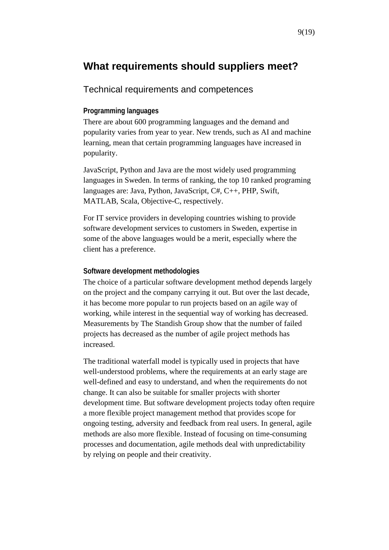# **What requirements should suppliers meet?**

# Technical requirements and competences

### **Programming languages**

There are about 600 programming languages and the demand and popularity varies from year to year. New trends, such as AI and machine learning, mean that certain programming languages have increased in popularity.

JavaScript, Python and Java are the most widely used programming languages in Sweden. In terms of ranking, the top 10 ranked programing languages are: Java, Python, JavaScript, C#, C++, PHP, Swift, MATLAB, Scala, Objective-C, respectively.

For IT service providers in developing countries wishing to provide software development services to customers in Sweden, expertise in some of the above languages would be a merit, especially where the client has a preference.

### **Software development methodologies**

The choice of a particular software development method depends largely on the project and the company carrying it out. But over the last decade, it has become more popular to run projects based on an agile way of working, while interest in the sequential way of working has decreased. Measurements by The Standish Group show that the number of failed projects has decreased as the number of agile project methods has increased.

The traditional waterfall model is typically used in projects that have well-understood problems, where the requirements at an early stage are well-defined and easy to understand, and when the requirements do not change. It can also be suitable for smaller projects with shorter development time. But software development projects today often require a more flexible project management method that provides scope for ongoing testing, adversity and feedback from real users. In general, agile methods are also more flexible. Instead of focusing on time-consuming processes and documentation, agile methods deal with unpredictability by relying on people and their creativity.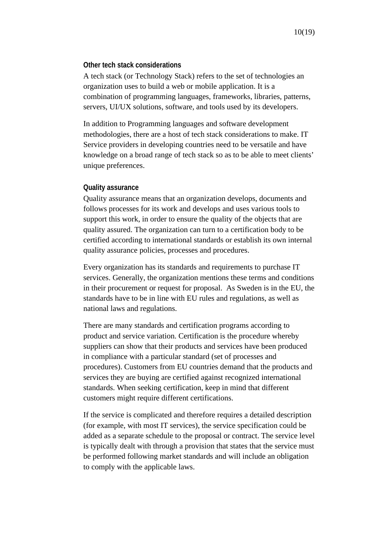### **Other tech stack considerations**

A tech stack (or Technology Stack) refers to the set of technologies an organization uses to build a web or mobile application. It is a combination of programming languages, frameworks, libraries, patterns, servers, UI/UX solutions, software, and tools used by its developers.

In addition to Programming languages and software development methodologies, there are a host of tech stack considerations to make. IT Service providers in developing countries need to be versatile and have knowledge on a broad range of tech stack so as to be able to meet clients' unique preferences.

### **Quality assurance**

Quality assurance means that an organization develops, documents and follows processes for its work and develops and uses various tools to support this work, in order to ensure the quality of the objects that are quality assured. The organization can turn to a certification body to be certified according to international standards or establish its own internal quality assurance policies, processes and procedures.

Every organization has its standards and requirements to purchase IT services. Generally, the organization mentions these terms and conditions in their procurement or request for proposal. As Sweden is in the EU, the standards have to be in line with EU rules and regulations, as well as national laws and regulations.

There are many standards and certification programs according to product and service variation. Certification is the procedure whereby suppliers can show that their products and services have been produced in compliance with a particular standard (set of processes and procedures). Customers from EU countries demand that the products and services they are buying are certified against recognized international standards. When seeking certification, keep in mind that different customers might require different certifications.

If the service is complicated and therefore requires a detailed description (for example, with most IT services), the service specification could be added as a separate schedule to the proposal or contract. The service level is typically dealt with through a provision that states that the service must be performed following market standards and will include an obligation to comply with the applicable laws.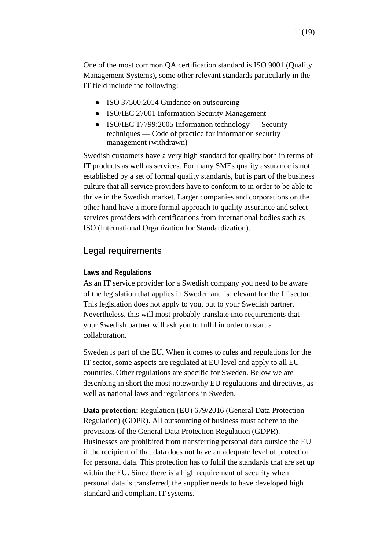One of the most common QA certification standard is ISO 9001 (Quality Management Systems), some other relevant standards particularly in the IT field include the following:

- ISO 37500:2014 Guidance on outsourcing
- ISO/IEC 27001 Information Security Management
- ISO/IEC 17799:2005 Information technology Security techniques — Code of practice for information security management (withdrawn)

Swedish customers have a very high standard for quality both in terms of IT products as well as services. For many SMEs quality assurance is not established by a set of formal quality standards, but is part of the business culture that all service providers have to conform to in order to be able to thrive in the Swedish market. Larger companies and corporations on the other hand have a more formal approach to quality assurance and select services providers with certifications from international bodies such as ISO (International Organization for Standardization).

# Legal requirements

### **Laws and Regulations**

As an IT service provider for a Swedish company you need to be aware of the legislation that applies in Sweden and is relevant for the IT sector. This legislation does not apply to you, but to your Swedish partner. Nevertheless, this will most probably translate into requirements that your Swedish partner will ask you to fulfil in order to start a collaboration.

Sweden is part of the EU. When it comes to rules and regulations for the IT sector, some aspects are regulated at EU level and apply to all EU countries. Other regulations are specific for Sweden. Below we are describing in short the most noteworthy EU regulations and directives, as well as national laws and regulations in Sweden.

**Data protection:** Regulation (EU) 679/2016 (General Data Protection Regulation) (GDPR). All outsourcing of business must adhere to the provisions of the General Data Protection Regulation (GDPR). Businesses are prohibited from transferring personal data outside the EU if the recipient of that data does not have an adequate level of protection for personal data. This protection has to fulfil the standards that are set up within the EU. Since there is a high requirement of security when personal data is transferred, the supplier needs to have developed high standard and compliant IT systems.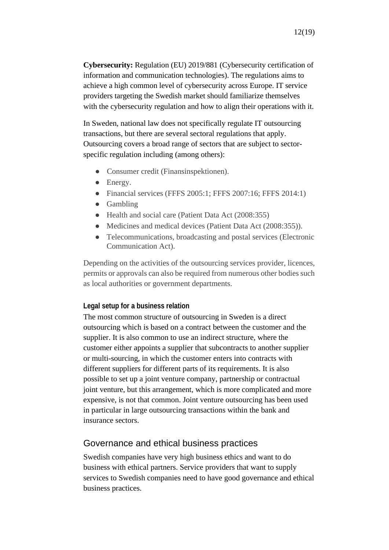**Cybersecurity:** Regulation (EU) 2019/881 (Cybersecurity certification of information and communication technologies). The regulations aims to achieve a high common level of cybersecurity across Europe. IT service providers targeting the Swedish market should familiarize themselves with the cybersecurity regulation and how to align their operations with it.

In Sweden, national law does not specifically regulate IT outsourcing transactions, but there are several sectoral regulations that apply. Outsourcing covers a broad range of sectors that are subject to sectorspecific regulation including (among others):

- Consumer credit (Finansinspektionen).
- Energy.
- Financial services (FFFS 2005:1; FFFS 2007:16; FFFS 2014:1)
- Gambling
- Health and social care (Patient Data Act (2008:355)
- Medicines and medical devices (Patient Data Act (2008:355)).
- Telecommunications, broadcasting and postal services (Electronic Communication Act).

Depending on the activities of the outsourcing services provider, licences, permits or approvals can also be required from numerous other bodies such as local authorities or government departments.

### **Legal setup for a business relation**

The most common structure of outsourcing in Sweden is a direct outsourcing which is based on a contract between the customer and the supplier. It is also common to use an indirect structure, where the customer either appoints a supplier that subcontracts to another supplier or multi-sourcing, in which the customer enters into contracts with different suppliers for different parts of its requirements. It is also possible to set up a joint venture company, partnership or contractual joint venture, but this arrangement, which is more complicated and more expensive, is not that common. Joint venture outsourcing has been used in particular in large outsourcing transactions within the bank and insurance sectors.

# Governance and ethical business practices

Swedish companies have very high business ethics and want to do business with ethical partners. Service providers that want to supply services to Swedish companies need to have good governance and ethical business practices.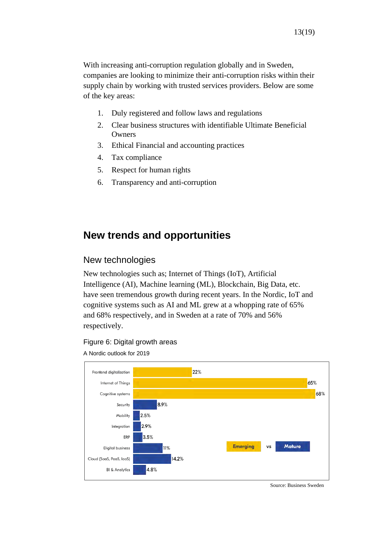With increasing anti-corruption regulation globally and in Sweden, companies are looking to minimize their anti-corruption risks within their supply chain by working with trusted services providers. Below are some of the key areas:

- 1. Duly registered and follow laws and regulations
- 2. Clear business structures with identifiable Ultimate Beneficial **Owners**
- 3. Ethical Financial and accounting practices
- 4. Tax compliance
- 5. Respect for human rights
- 6. Transparency and anti-corruption

# **New trends and opportunities**

# New technologies

New technologies such as; Internet of Things (IoT), Artificial Intelligence (AI), Machine learning (ML), Blockchain, Big Data, etc. have seen tremendous growth during recent years. In the Nordic, IoT and cognitive systems such as AI and ML grew at a whopping rate of 65% and 68% respectively, and in Sweden at a rate of 70% and 56% respectively.

### Figure 6: Digital growth areas

A Nordic outlook for 2019



Source: Business Sweden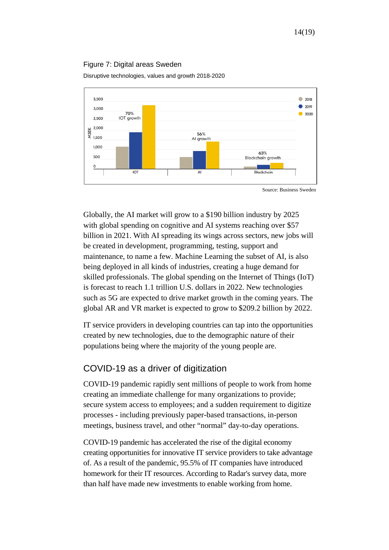### Figure 7: Digital areas Sweden

Disruptive technologies, values and growth 2018-2020



Source: Business Sweden

Globally, the AI market will grow to a \$190 billion industry by 2025 with global spending on cognitive and AI systems reaching over \$57 billion in 202[1. W](https://www.idc.com/itexecutive/research/topics/ai)ith AI spreading its wings across sectors, new jobs will be created in development, programming, testing, support and maintenance, to name a few. Machine Learning the subset of AI, is also being deployed in all kinds of industries, creating a huge demand for skilled professionals. The global spending on the Internet of Things (IoT) is forecast to reach 1.1 trillion U.S. dollars in 2022. New technologies such as 5G are expected to drive market growth in the coming years. The global AR and VR market is expected to grow to \$209.2 billion by 2022.

IT service providers in developing countries can tap into the opportunities created by new technologies, due to the demographic nature of their populations being where the majority of the young people are.

# COVID-19 as a driver of digitization

COVID-19 pandemic rapidly sent millions of people to work from home creating an immediate challenge for many organizations to provide; secure system access to employees; and a sudden requirement to digitize processes - including previously paper-based transactions, in-person meetings, business travel, and other "normal" day-to-day operations.

COVID-19 pandemic has accelerated the rise of the digital economy creating opportunities for innovative IT service providers to take advantage of. As a result of the pandemic, 95.5% of IT companies have introduced homework for their IT resources. According to Radar's survey data, more than half have made new investments to enable working from home.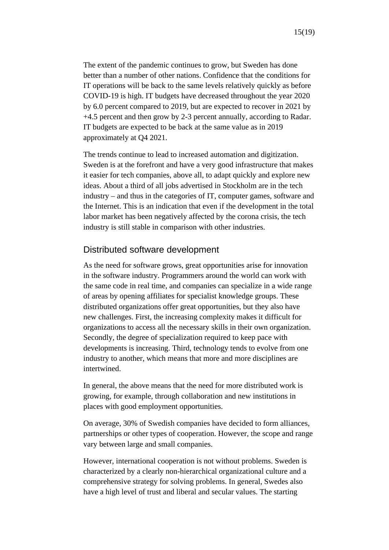The extent of the pandemic continues to grow, but Sweden has done better than a number of other nations. Confidence that the conditions for IT operations will be back to the same levels relatively quickly as before COVID-19 is high. IT budgets have decreased throughout the year 2020 by 6.0 percent compared to 2019, but are expected to recover in 2021 by +4.5 percent and then grow by 2-3 percent annually, according to Radar. IT budgets are expected to be back at the same value as in 2019 approximately at Q4 2021.

The trends continue to lead to increased automation and digitization. Sweden is at the forefront and have a very good infrastructure that makes it easier for tech companies, above all, to adapt quickly and explore new ideas. About a third of all jobs advertised in Stockholm are in the tech industry – and thus in the categories of IT, computer games, software and the Internet. This is an indication that even if the development in the total labor market has been negatively affected by the corona crisis, the tech industry is still stable in comparison with other industries.

# Distributed software development

As the need for software grows, great opportunities arise for innovation in the software industry. Programmers around the world can work with the same code in real time, and companies can specialize in a wide range of areas by opening affiliates for specialist knowledge groups. These distributed organizations offer great opportunities, but they also have new challenges. First, the increasing complexity makes it difficult for organizations to access all the necessary skills in their own organization. Secondly, the degree of specialization required to keep pace with developments is increasing. Third, technology tends to evolve from one industry to another, which means that more and more disciplines are intertwined.

In general, the above means that the need for more distributed work is growing, for example, through collaboration and new institutions in places with good employment opportunities.

On average, 30% of Swedish companies have decided to form alliances, partnerships or other types of cooperation. However, the scope and range vary between large and small companies.

However, international cooperation is not without problems. Sweden is characterized by a clearly non-hierarchical organizational culture and a comprehensive strategy for solving problems. In general, Swedes also have a high level of trust and liberal and secular values. The starting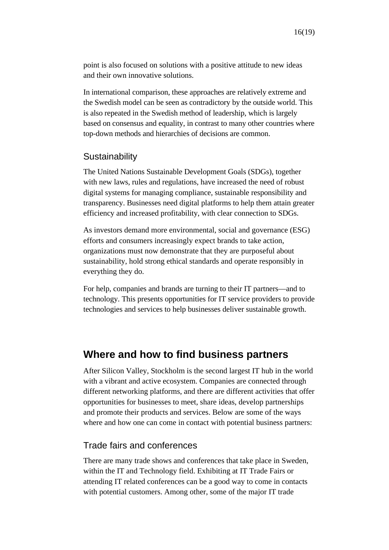point is also focused on solutions with a positive attitude to new ideas and their own innovative solutions.

In international comparison, these approaches are relatively extreme and the Swedish model can be seen as contradictory by the outside world. This is also repeated in the Swedish method of leadership, which is largely based on consensus and equality, in contrast to many other countries where top-down methods and hierarchies of decisions are common.

# **Sustainability**

The United Nations Sustainable Development Goals (SDGs), together with new laws, rules and regulations, have increased the need of robust digital systems for managing compliance, sustainable responsibility and transparency. Businesses need digital platforms to help them attain greater efficiency and increased profitability, with clear connection to SDGs.

As investors demand more environmental, social and governance (ESG) efforts and consumers increasingly expect brands to take action, organizations must now demonstrate that they are purposeful about sustainability, hold strong ethical standards and operate responsibly in everything they do.

For help, companies and brands are turning to their IT partners—and to technology. This presents opportunities for IT service providers to provide technologies and services to help businesses deliver sustainable growth.

# **Where and how to find business partners**

After Silicon Valley, Stockholm is the second largest IT hub in the world with a vibrant and active ecosystem. Companies are connected through different networking platforms, and there are different activities that offer opportunities for businesses to meet, share ideas, develop partnerships and promote their products and services. Below are some of the ways where and how one can come in contact with potential business partners:

## Trade fairs and conferences

There are many trade shows and conferences that take place in Sweden, within the IT and Technology field. Exhibiting at IT Trade Fairs or attending IT related conferences can be a good way to come in contacts with potential customers. Among other, some of the major IT trade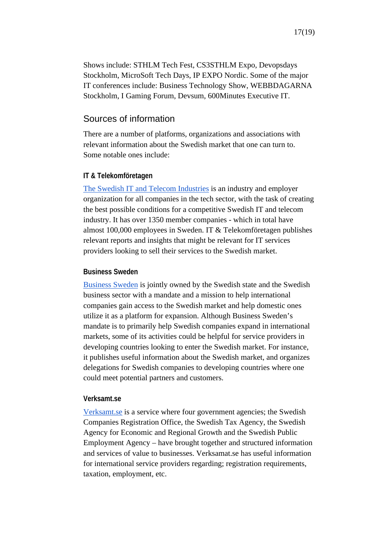# Sources of information

There are a number of platforms, organizations and associations with relevant information about the Swedish market that one can turn to. Some notable ones include:

## **IT & Telekomföretagen**

[The Swedish IT and Telecom Industries](https://www.itot.se/) is an industry and employer organization for all companies in the tech sector, with the task of creating the best possible conditions for a competitive Swedish IT and telecom industry. It has over 1350 member companies - which in total have almost 100,000 employees in Sweden. IT & Telekomföretagen publishes relevant reports and insights that might be relevant for IT services providers looking to sell their services to the Swedish market.

# **Business Sweden**

[Business Sweden](https://www.business-sweden.com/) is jointly owned by the Swedish state and the Swedish business sector with a mandate and a mission to help international companies gain access to the Swedish market and help domestic ones utilize it as a platform for expansion. Although Business Sweden's mandate is to primarily help Swedish companies expand in international markets, some of its activities could be helpful for service providers in developing countries looking to enter the Swedish market. For instance, it publishes useful information about the Swedish market, and organizes delegations for Swedish companies to developing countries where one could meet potential partners and customers.

## **Verksamt.se**

[Verksamt.se](https://www.verksamt.se/en/web/international/home) is a service where four government agencies; the Swedish Companies Registration Office, the Swedish Tax Agency, the Swedish Agency for Economic and Regional Growth and the Swedish Public Employment Agency – have brought together and structured information and services of value to businesses. Verksamat.se has useful information for international service providers regarding; registration requirements, taxation, employment, etc.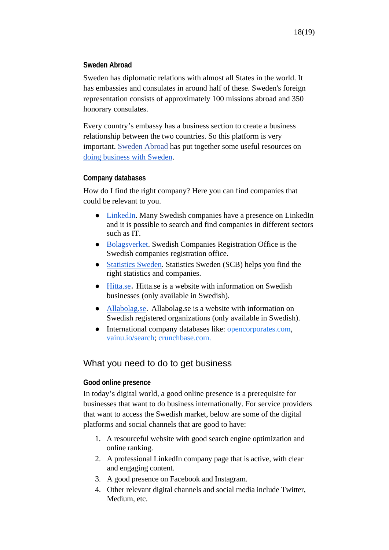# **Sweden Abroad**

Sweden has diplomatic relations with almost all States in the world. It has embassies and consulates in around half of these. Sweden's foreign representation consists of approximately 100 missions abroad and 350 honorary consulates.

Every country's embassy has a business section to create a business relationship between the two countries. So this platform is very important. [Sweden Abroad](http://www.swedenabroad.se/) has put together some useful resources on [doing business with Sweden.](https://www.swedenabroad.se/en/about-sweden-non-swedish-citizens/business-and-trade-with-sweden/doing-business-with-sweden/)

# **Company databases**

How do I find the right company? Here you can find companies that could be relevant to you.

- [LinkedIn.](https://www.linkedin.com/) Many Swedish companies have a presence on LinkedIn and it is possible to search and find companies in different sectors such as IT.
- [Bolagsverket.](https://bolagsverket.se/en) Swedish Companies Registration Office is the Swedish companies registration office.
- [Statistics Sweden.](https://www.scb.se/en/services/statistics-swedens-business-register/) Statistics Sweden (SCB) helps you find the right statistics and companies.
- [Hitta.se](https://www.hitta.se/info/bolagsinfo). Hitta.se is a website with information on Swedish businesses (only available in Swedish).
- [Allabolag.se](https://www.allabolag.se/). Allabolag.se is a website with information on Swedish registered organizations (only available in Swedish).
- International company databases like: [opencorporates.com,](http://opencorporates.com/) [vainu.io/search;](http://vainu.io/search) [crunchbase.com.](http://crunchbase.com/)

# What you need to do to get business

## **Good online presence**

In today's digital world, a good online presence is a prerequisite for businesses that want to do business internationally. For service providers that want to access the Swedish market, below are some of the digital platforms and social channels that are good to have:

- 1. A resourceful website with good search engine optimization and online ranking.
- 2. A professional LinkedIn company page that is active, with clear and engaging content.
- 3. A good presence on Facebook and Instagram.
- 4. Other relevant digital channels and social media include Twitter, Medium, etc.